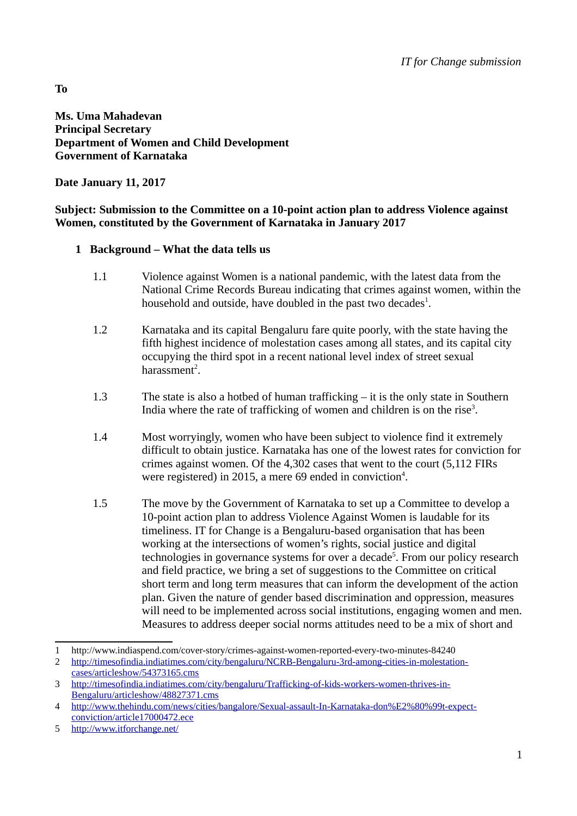**Ms. Uma Mahadevan Principal Secretary Department of Women and Child Development Government of Karnataka** 

**Date January 11, 2017**

#### **Subject: Submission to the Committee on a 10-point action plan to address Violence against Women, constituted by the Government of Karnataka in January 2017**

## **1 Background – What the data tells us**

- 1.1 Violence against Women is a national pandemic, with the latest data from the National Crime Records Bureau indicating that crimes against women, within the household and outside, have doubled in the past two decades $^1$  $^1$ .
- 1.2 Karnataka and its capital Bengaluru fare quite poorly, with the state having the fifth highest incidence of molestation cases among all states, and its capital city occupying the third spot in a recent national level index of street sexual harassment<sup>[2](#page-0-1)</sup>.
- 1.3 The state is also a hotbed of human trafficking it is the only state in Southern India where the rate of trafficking of women and children is on the rise<sup>[3](#page-0-2)</sup>.
- 1.4 Most worryingly, women who have been subject to violence find it extremely difficult to obtain justice. Karnataka has one of the lowest rates for conviction for crimes against women. Of the 4,302 cases that went to the court (5,112 FIRs were registered) in 2015, a mere 69 ended in conviction<sup>[4](#page-0-3)</sup>.
- 1.5 The move by the Government of Karnataka to set up a Committee to develop a 10-point action plan to address Violence Against Women is laudable for its timeliness. IT for Change is a Bengaluru-based organisation that has been working at the intersections of women's rights, social justice and digital technologies in governance systems for over a decade<sup>[5](#page-0-4)</sup>. From our policy research and field practice, we bring a set of suggestions to the Committee on critical short term and long term measures that can inform the development of the action plan. Given the nature of gender based discrimination and oppression, measures will need to be implemented across social institutions, engaging women and men. Measures to address deeper social norms attitudes need to be a mix of short and

1

**To**

<span id="page-0-0"></span><sup>1</sup> http://www.indiaspend.com/cover-story/crimes-against-women-reported-every-two-minutes-84240

<span id="page-0-1"></span><sup>2</sup> [http://timesofindia.indiatimes.com/city/bengaluru/NCRB-Bengaluru-3rd-among-cities-in-molestation](http://timesofindia.indiatimes.com/city/bengaluru/NCRB-Bengaluru-3rd-among-cities-in-molestation-cases/articleshow/54373165.cms)[cases/articleshow/54373165.cms](http://timesofindia.indiatimes.com/city/bengaluru/NCRB-Bengaluru-3rd-among-cities-in-molestation-cases/articleshow/54373165.cms)

<span id="page-0-2"></span><sup>3</sup> [http://timesofindia.indiatimes.com/city/bengaluru/Trafficking-of-kids-workers-women-thrives-in-](http://timesofindia.indiatimes.com/city/bengaluru/Trafficking-of-kids-workers-women-thrives-in-Bengaluru/articleshow/48827371.cms)[Bengaluru/articleshow/48827371.cms](http://timesofindia.indiatimes.com/city/bengaluru/Trafficking-of-kids-workers-women-thrives-in-Bengaluru/articleshow/48827371.cms)

<span id="page-0-3"></span><sup>4</sup> [http://www.thehindu.com/news/cities/bangalore/Sexual-assault-In-Karnataka-don%E2%80%99t-expect](http://www.thehindu.com/news/cities/bangalore/Sexual-assault-In-Karnataka-don%E2%80%99t-expect-conviction/article17000472.ece)[conviction/article17000472.ece](http://www.thehindu.com/news/cities/bangalore/Sexual-assault-In-Karnataka-don%E2%80%99t-expect-conviction/article17000472.ece)

<span id="page-0-4"></span><sup>5</sup> <http://www.itforchange.net/>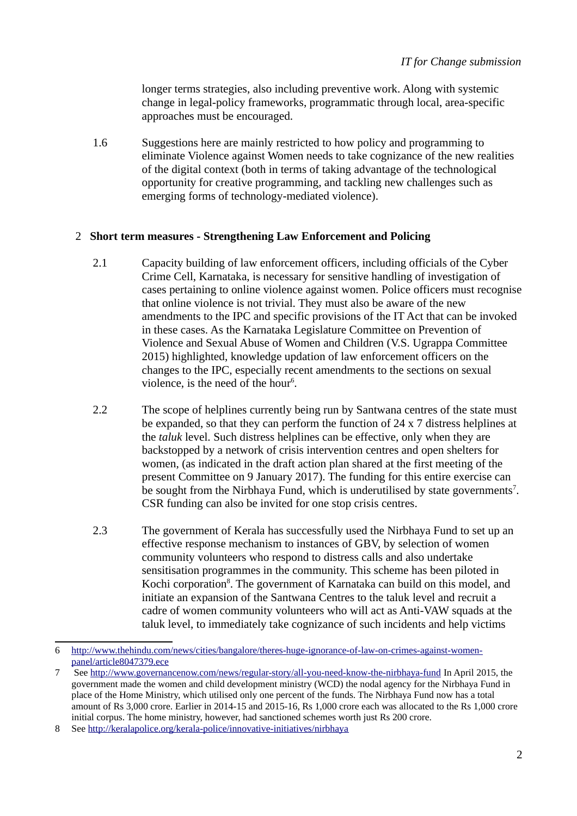longer terms strategies, also including preventive work. Along with systemic change in legal-policy frameworks, programmatic through local, area-specific approaches must be encouraged.

 1.6 Suggestions here are mainly restricted to how policy and programming to eliminate Violence against Women needs to take cognizance of the new realities of the digital context (both in terms of taking advantage of the technological opportunity for creative programming, and tackling new challenges such as emerging forms of technology-mediated violence).

#### 2 **Short term measures - Strengthening Law Enforcement and Policing**

- 2.1 Capacity building of law enforcement officers, including officials of the Cyber Crime Cell, Karnataka, is necessary for sensitive handling of investigation of cases pertaining to online violence against women. Police officers must recognise that online violence is not trivial. They must also be aware of the new amendments to the IPC and specific provisions of the IT Act that can be invoked in these cases. As the Karnataka Legislature Committee on Prevention of Violence and Sexual Abuse of Women and Children (V.S. Ugrappa Committee 2015) highlighted, knowledge updation of law enforcement officers on the changes to the IPC, especially recent amendments to the sections on sexual violence, is the need of the hour<sup>[6](#page-1-0)</sup>.
- 2.2 The scope of helplines currently being run by Santwana centres of the state must be expanded, so that they can perform the function of 24 x 7 distress helplines at the *taluk* level. Such distress helplines can be effective, only when they are backstopped by a network of crisis intervention centres and open shelters for women, (as indicated in the draft action plan shared at the first meeting of the present Committee on 9 January 2017). The funding for this entire exercise can be sought from the Nirbhaya Fund, which is underutilised by state governments<sup>[7](#page-1-1)</sup>. CSR funding can also be invited for one stop crisis centres.
- 2.3 The government of Kerala has successfully used the Nirbhaya Fund to set up an effective response mechanism to instances of GBV, by selection of women community volunteers who respond to distress calls and also undertake sensitisation programmes in the community. This scheme has been piloted in Kochi corporation<sup>[8](#page-1-2)</sup>. The government of Karnataka can build on this model, and initiate an expansion of the Santwana Centres to the taluk level and recruit a cadre of women community volunteers who will act as Anti-VAW squads at the taluk level, to immediately take cognizance of such incidents and help victims

<span id="page-1-0"></span><sup>6</sup> [http://www.thehindu.com/news/cities/bangalore/theres-huge-ignorance-of-law-on-crimes-against-women](http://www.thehindu.com/news/cities/bangalore/theres-huge-ignorance-of-law-on-crimes-against-women-panel/article8047379.ece)[panel/article8047379.ece](http://www.thehindu.com/news/cities/bangalore/theres-huge-ignorance-of-law-on-crimes-against-women-panel/article8047379.ece)

<span id="page-1-1"></span><sup>7</sup> See<http://www.governancenow.com/news/regular-story/all-you-need-know-the-nirbhaya-fund>In April 2015, the government made the women and child development ministry (WCD) the nodal agency for the Nirbhaya Fund in place of the Home Ministry, which utilised only one percent of the funds. The Nirbhaya Fund now has a total amount of Rs 3,000 crore. Earlier in 2014-15 and 2015-16, Rs 1,000 crore each was allocated to the Rs 1,000 crore initial corpus. The home ministry, however, had sanctioned schemes worth just Rs 200 crore.

<span id="page-1-2"></span><sup>8</sup> See<http://keralapolice.org/kerala-police/innovative-initiatives/nirbhaya>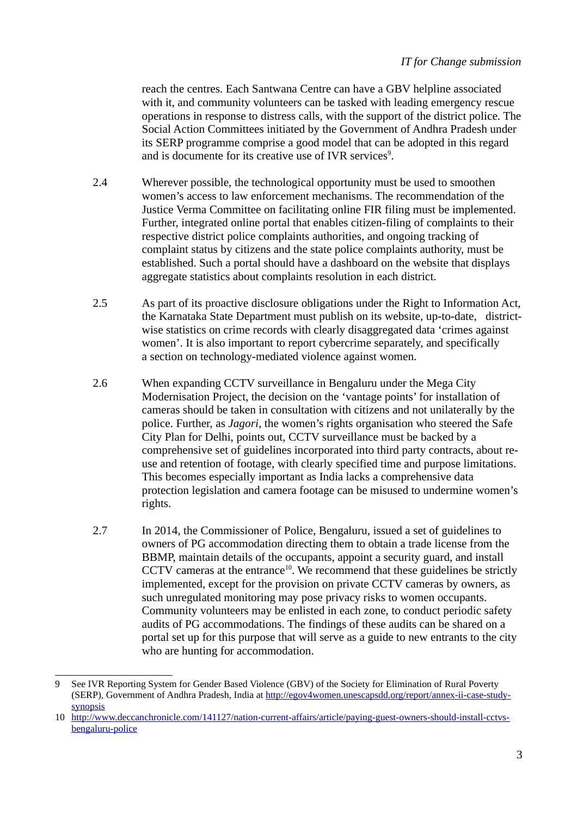reach the centres. Each Santwana Centre can have a GBV helpline associated with it, and community volunteers can be tasked with leading emergency rescue operations in response to distress calls, with the support of the district police. The Social Action Committees initiated by the Government of Andhra Pradesh under its SERP programme comprise a good model that can be adopted in this regard and is documente for its creative use of IVR services $9$ .

- 2.4 Wherever possible, the technological opportunity must be used to smoothen women's access to law enforcement mechanisms. The recommendation of the Justice Verma Committee on facilitating online FIR filing must be implemented. Further, integrated online portal that enables citizen-filing of complaints to their respective district police complaints authorities, and ongoing tracking of complaint status by citizens and the state police complaints authority, must be established. Such a portal should have a dashboard on the website that displays aggregate statistics about complaints resolution in each district.
- 2.5 As part of its proactive disclosure obligations under the Right to Information Act, the Karnataka State Department must publish on its website, up-to-date, districtwise statistics on crime records with clearly disaggregated data 'crimes against women'. It is also important to report cybercrime separately, and specifically a section on technology-mediated violence against women.
- 2.6 When expanding CCTV surveillance in Bengaluru under the Mega City Modernisation Project, the decision on the 'vantage points' for installation of cameras should be taken in consultation with citizens and not unilaterally by the police. Further, as *Jagori*, the women's rights organisation who steered the Safe City Plan for Delhi, points out, CCTV surveillance must be backed by a comprehensive set of guidelines incorporated into third party contracts, about reuse and retention of footage, with clearly specified time and purpose limitations. This becomes especially important as India lacks a comprehensive data protection legislation and camera footage can be misused to undermine women's rights.
- 2.7 In 2014, the Commissioner of Police, Bengaluru, issued a set of guidelines to owners of PG accommodation directing them to obtain a trade license from the BBMP, maintain details of the occupants, appoint a security guard, and install CCTV cameras at the entrance<sup>[10](#page-2-1)</sup>. We recommend that these guidelines be strictly implemented, except for the provision on private CCTV cameras by owners, as such unregulated monitoring may pose privacy risks to women occupants. Community volunteers may be enlisted in each zone, to conduct periodic safety audits of PG accommodations. The findings of these audits can be shared on a portal set up for this purpose that will serve as a guide to new entrants to the city who are hunting for accommodation.

<span id="page-2-0"></span><sup>9</sup> See IVR Reporting System for Gender Based Violence (GBV) of the Society for Elimination of Rural Poverty (SERP), Government of Andhra Pradesh, India at [http://egov4women.unescapsdd.org/report/annex-ii-case-study](http://egov4women.unescapsdd.org/report/annex-ii-case-study-synopsis)[synopsis](http://egov4women.unescapsdd.org/report/annex-ii-case-study-synopsis)

<span id="page-2-1"></span><sup>10</sup> [http://www.deccanchronicle.com/141127/nation-current-affairs/article/paying-guest-owners-should-install-cctvs](http://www.deccanchronicle.com/141127/nation-current-affairs/article/paying-guest-owners-should-install-cctvs-bengaluru-police)[bengaluru-police](http://www.deccanchronicle.com/141127/nation-current-affairs/article/paying-guest-owners-should-install-cctvs-bengaluru-police)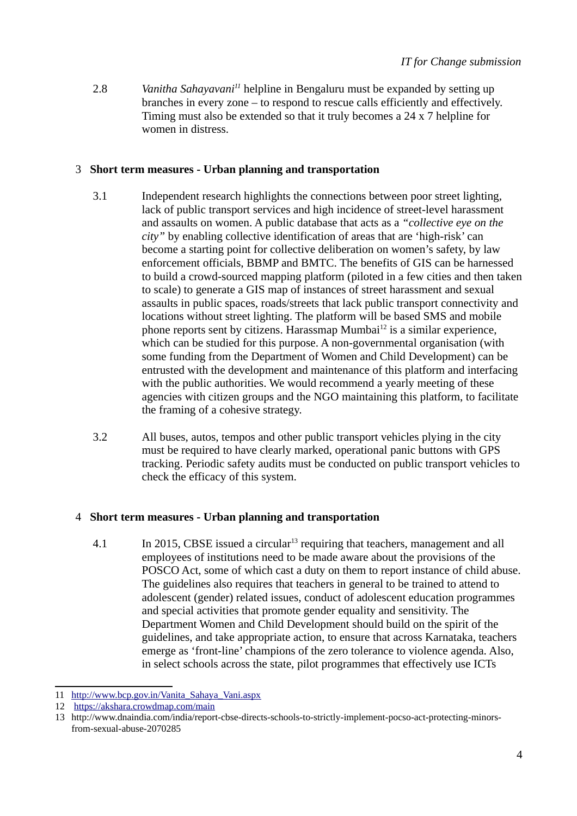2.8 *Vanitha Sahayavani[11](#page-3-0)* helpline in Bengaluru must be expanded by setting up branches in every zone – to respond to rescue calls efficiently and effectively. Timing must also be extended so that it truly becomes a 24 x 7 helpline for women in distress.

## 3 **Short term measures - Urban planning and transportation**

- 3.1 Independent research highlights the connections between poor street lighting, lack of public transport services and high incidence of street-level harassment and assaults on women. A public database that acts as a *"collective eye on the city"* by enabling collective identification of areas that are 'high-risk' can become a starting point for collective deliberation on women's safety, by law enforcement officials, BBMP and BMTC. The benefits of GIS can be harnessed to build a crowd-sourced mapping platform (piloted in a few cities and then taken to scale) to generate a GIS map of instances of street harassment and sexual assaults in public spaces, roads/streets that lack public transport connectivity and locations without street lighting. The platform will be based SMS and mobile phone reports sent by citizens. Harassmap Mumbai<sup>[12](#page-3-1)</sup> is a similar experience, which can be studied for this purpose. A non-governmental organisation (with some funding from the Department of Women and Child Development) can be entrusted with the development and maintenance of this platform and interfacing with the public authorities. We would recommend a yearly meeting of these agencies with citizen groups and the NGO maintaining this platform, to facilitate the framing of a cohesive strategy.
- 3.2 All buses, autos, tempos and other public transport vehicles plying in the city must be required to have clearly marked, operational panic buttons with GPS tracking. Periodic safety audits must be conducted on public transport vehicles to check the efficacy of this system.

# 4 **Short term measures - Urban planning and transportation**

4.1 In 2015, CBSE issued a circular<sup>[13](#page-3-2)</sup> requiring that teachers, management and all employees of institutions need to be made aware about the provisions of the POSCO Act, some of which cast a duty on them to report instance of child abuse. The guidelines also requires that teachers in general to be trained to attend to adolescent (gender) related issues, conduct of adolescent education programmes and special activities that promote gender equality and sensitivity. The Department Women and Child Development should build on the spirit of the guidelines, and take appropriate action, to ensure that across Karnataka, teachers emerge as 'front-line' champions of the zero tolerance to violence agenda. Also, in select schools across the state, pilot programmes that effectively use ICTs

<span id="page-3-0"></span><sup>11</sup> [http://www.bcp.gov.in/Vanita\\_Sahaya\\_Vani.aspx](http://www.bcp.gov.in/Vanita_Sahaya_Vani.aspx)

<span id="page-3-1"></span><sup>12</sup> <https://akshara.crowdmap.com/main>

<span id="page-3-2"></span><sup>13</sup> http://www.dnaindia.com/india/report-cbse-directs-schools-to-strictly-implement-pocso-act-protecting-minorsfrom-sexual-abuse-2070285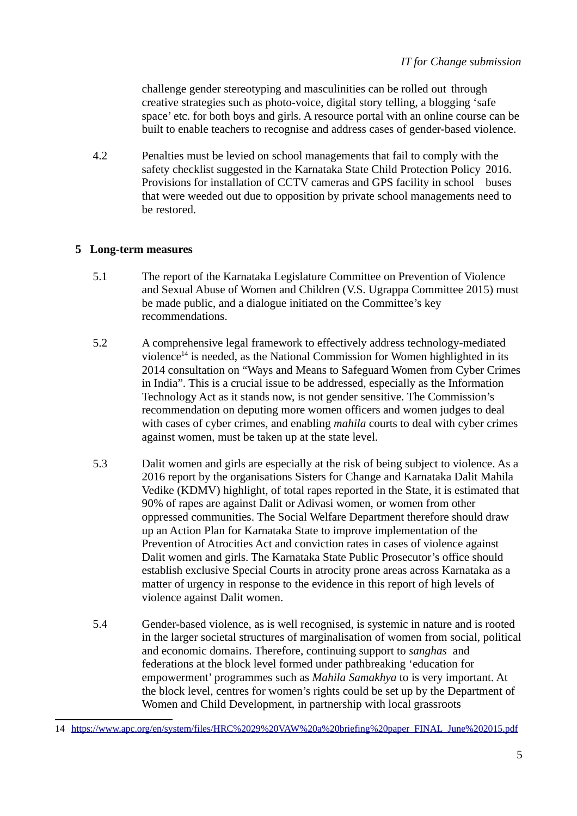challenge gender stereotyping and masculinities can be rolled out through creative strategies such as photo-voice, digital story telling, a blogging 'safe space' etc. for both boys and girls. A resource portal with an online course can be built to enable teachers to recognise and address cases of gender-based violence.

 4.2 Penalties must be levied on school managements that fail to comply with the safety checklist suggested in the Karnataka State Child Protection Policy 2016. Provisions for installation of CCTV cameras and GPS facility in school buses that were weeded out due to opposition by private school managements need to be restored.

## **5 Long-term measures**

- 5.1 The report of the Karnataka Legislature Committee on Prevention of Violence and Sexual Abuse of Women and Children (V.S. Ugrappa Committee 2015) must be made public, and a dialogue initiated on the Committee's key recommendations.
- 5.2 A comprehensive legal framework to effectively address technology-mediated violence<sup>[14](#page-4-0)</sup> is needed, as the National Commission for Women highlighted in its 2014 consultation on "Ways and Means to Safeguard Women from Cyber Crimes in India". This is a crucial issue to be addressed, especially as the Information Technology Act as it stands now, is not gender sensitive. The Commission's recommendation on deputing more women officers and women judges to deal with cases of cyber crimes, and enabling *mahila* courts to deal with cyber crimes against women, must be taken up at the state level.
- 5.3 Dalit women and girls are especially at the risk of being subject to violence. As a 2016 report by the organisations Sisters for Change and Karnataka Dalit Mahila Vedike (KDMV) highlight, of total rapes reported in the State, it is estimated that 90% of rapes are against Dalit or Adivasi women, or women from other oppressed communities. The Social Welfare Department therefore should draw up an Action Plan for Karnataka State to improve implementation of the Prevention of Atrocities Act and conviction rates in cases of violence against Dalit women and girls. The Karnataka State Public Prosecutor's office should establish exclusive Special Courts in atrocity prone areas across Karnataka as a matter of urgency in response to the evidence in this report of high levels of violence against Dalit women.
- 5.4 Gender-based violence, as is well recognised, is systemic in nature and is rooted in the larger societal structures of marginalisation of women from social, political and economic domains. Therefore, continuing support to *sanghas* and federations at the block level formed under pathbreaking 'education for empowerment' programmes such as *Mahila Samakhya* to is very important. At the block level, centres for women's rights could be set up by the Department of Women and Child Development, in partnership with local grassroots

<span id="page-4-0"></span><sup>14</sup> [https://www.apc.org/en/system/files/HRC%2029%20VAW%20a%20briefing%20paper\\_FINAL\\_June%202015.pdf](https://www.apc.org/en/system/files/HRC%2029%20VAW%20a%20briefing%20paper_FINAL_June%202015.pdf)